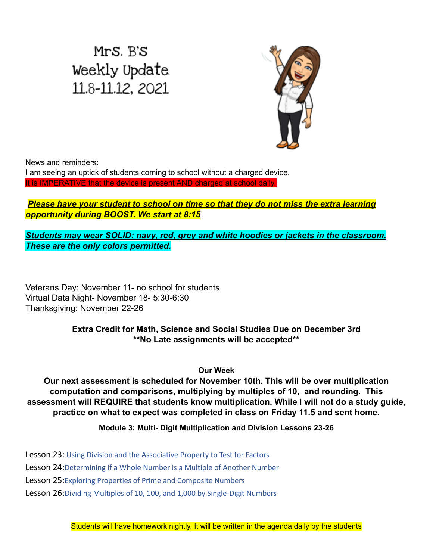## Mrs. B's Weekly Update 11.8-11.12, 2021



News and reminders:

I am seeing an uptick of students coming to school without a charged device. It is IMPERATIVE that the device is present AND charged at school daily.

## *Please have your student to school on time so that they do not miss the extra learning opportunity during BOOST. We start at 8:15*

*Students may wear SOLID: navy, red, grey and white hoodies or jackets in the classroom. These are the only colors permitted.*

Veterans Day: November 11- no school for students Virtual Data Night- November 18- 5:30-6:30 Thanksgiving: November 22-26

> **Extra Credit for Math, Science and Social Studies Due on December 3rd \*\*No Late assignments will be accepted\*\***

> > **Our Week**

**Our next assessment is scheduled for November 10th. This will be over multiplication computation and comparisons, multiplying by multiples of 10, and rounding. This assessment will REQUIRE that students know multiplication. While I will not do a study guide, practice on what to expect was completed in class on Friday 11.5 and sent home.**

**Module 3: Multi- Digit Multiplication and Division Lessons 23-26**

Lesson 23: Using Division and the Associative Property to Test for Factors

Lesson 24:Determining if a Whole Number is a Multiple of Another Number

Lesson 25:Exploring Properties of Prime and Composite Numbers

Lesson 26:Dividing Multiples of 10, 100, and 1,000 by Single-Digit Numbers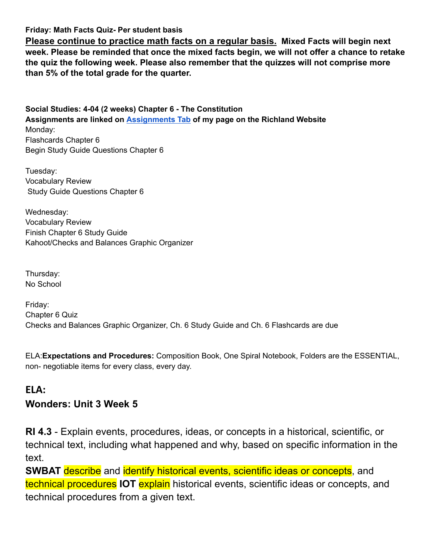**Friday: Math Facts Quiz- Per student basis**

**Please continue to practice math facts on a regular basis. Mixed Facts will begin next week. Please be reminded that once the mixed facts begin, we will not offer a chance to retake the quiz the following week. Please also remember that the quizzes will not comprise more than 5% of the total grade for the quarter.**

**Social Studies: 4-04 (2 weeks) Chapter 6 - The Constitution Assignments are linked on [Assignments](https://schools.scsk12.org/Page/14428) Tab of my page on the Richland Website** Monday: Flashcards Chapter 6 Begin Study Guide Questions Chapter 6

Tuesday: Vocabulary Review Study Guide Questions Chapter 6

Wednesday: Vocabulary Review Finish Chapter 6 Study Guide Kahoot/Checks and Balances Graphic Organizer

Thursday: No School

Friday: Chapter 6 Quiz Checks and Balances Graphic Organizer, Ch. 6 Study Guide and Ch. 6 Flashcards are due

ELA:**Expectations and Procedures:** Composition Book, One Spiral Notebook, Folders are the ESSENTIAL, non- negotiable items for every class, every day.

## **ELA: Wonders: Unit 3 Week 5**

**RI 4.3** - Explain events, procedures, ideas, or concepts in a historical, scientific, or technical text, including what happened and why, based on specific information in the text.

**SWBAT** describe and identify historical events, scientific ideas or concepts, and technical procedures **IOT** explain historical events, scientific ideas or concepts, and technical procedures from a given text.